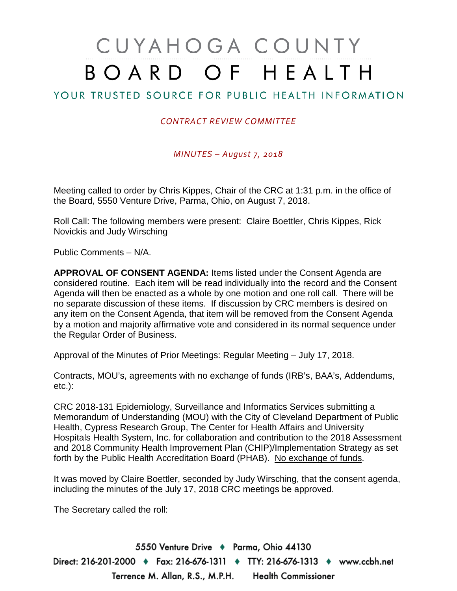# CUYAHOGA COUNTY BOARD OF HEALTH

## YOUR TRUSTED SOURCE FOR PUBLIC HEALTH INFORMATION

#### *CONTRACT REVIEW COMMITTEE*

#### *MINUTES – August 7, 2018*

Meeting called to order by Chris Kippes, Chair of the CRC at 1:31 p.m. in the office of the Board, 5550 Venture Drive, Parma, Ohio, on August 7, 2018.

Roll Call: The following members were present: Claire Boettler, Chris Kippes, Rick Novickis and Judy Wirsching

Public Comments – N/A.

**APPROVAL OF CONSENT AGENDA:** Items listed under the Consent Agenda are considered routine. Each item will be read individually into the record and the Consent Agenda will then be enacted as a whole by one motion and one roll call. There will be no separate discussion of these items. If discussion by CRC members is desired on any item on the Consent Agenda, that item will be removed from the Consent Agenda by a motion and majority affirmative vote and considered in its normal sequence under the Regular Order of Business.

Approval of the Minutes of Prior Meetings: Regular Meeting – July 17, 2018.

Contracts, MOU's, agreements with no exchange of funds (IRB's, BAA's, Addendums, etc.):

CRC 2018-131 Epidemiology, Surveillance and Informatics Services submitting a Memorandum of Understanding (MOU) with the City of Cleveland Department of Public Health, Cypress Research Group, The Center for Health Affairs and University Hospitals Health System, Inc. for collaboration and contribution to the 2018 Assessment and 2018 Community Health Improvement Plan (CHIP)/Implementation Strategy as set forth by the Public Health Accreditation Board (PHAB). No exchange of funds.

It was moved by Claire Boettler, seconded by Judy Wirsching, that the consent agenda, including the minutes of the July 17, 2018 CRC meetings be approved.

The Secretary called the roll:

5550 Venture Drive + Parma, Ohio 44130 Direct: 216-201-2000 ♦ Fax: 216-676-1311 ♦ TTY: 216-676-1313 ♦ www.ccbh.net Terrence M. Allan, R.S., M.P.H. Health Commissioner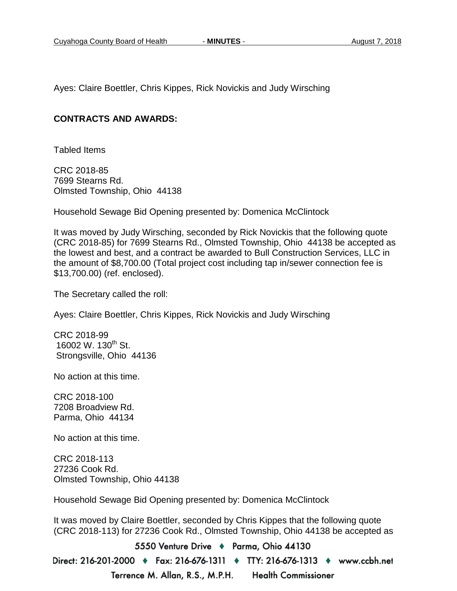Ayes: Claire Boettler, Chris Kippes, Rick Novickis and Judy Wirsching

#### **CONTRACTS AND AWARDS:**

Tabled Items

CRC 2018-85 7699 Stearns Rd. Olmsted Township, Ohio 44138

Household Sewage Bid Opening presented by: Domenica McClintock

It was moved by Judy Wirsching, seconded by Rick Novickis that the following quote (CRC 2018-85) for 7699 Stearns Rd., Olmsted Township, Ohio 44138 be accepted as the lowest and best, and a contract be awarded to Bull Construction Services, LLC in the amount of \$8,700.00 (Total project cost including tap in/sewer connection fee is \$13,700.00) (ref. enclosed).

The Secretary called the roll:

Ayes: Claire Boettler, Chris Kippes, Rick Novickis and Judy Wirsching

CRC 2018-99 16002 W. 130<sup>th</sup> St. Strongsville, Ohio 44136

No action at this time.

CRC 2018-100 7208 Broadview Rd. Parma, Ohio 44134

No action at this time.

CRC 2018-113 27236 Cook Rd. Olmsted Township, Ohio 44138

Household Sewage Bid Opening presented by: Domenica McClintock

It was moved by Claire Boettler, seconded by Chris Kippes that the following quote (CRC 2018-113) for 27236 Cook Rd., Olmsted Township, Ohio 44138 be accepted as

5550 Venture Drive + Parma, Ohio 44130 Direct: 216-201-2000 ♦ Fax: 216-676-1311 ♦ TTY: 216-676-1313 ♦ www.ccbh.net Terrence M. Allan, R.S., M.P.H. **Health Commissioner**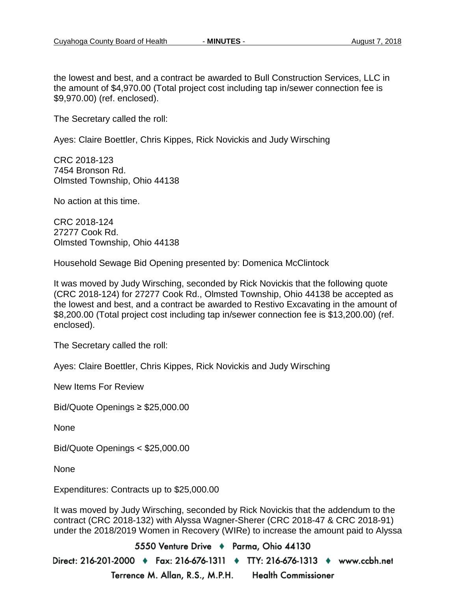the lowest and best, and a contract be awarded to Bull Construction Services, LLC in the amount of \$4,970.00 (Total project cost including tap in/sewer connection fee is \$9,970.00) (ref. enclosed).

The Secretary called the roll:

Ayes: Claire Boettler, Chris Kippes, Rick Novickis and Judy Wirsching

CRC 2018-123 7454 Bronson Rd. Olmsted Township, Ohio 44138

No action at this time.

CRC 2018-124 27277 Cook Rd. Olmsted Township, Ohio 44138

Household Sewage Bid Opening presented by: Domenica McClintock

It was moved by Judy Wirsching, seconded by Rick Novickis that the following quote (CRC 2018-124) for 27277 Cook Rd., Olmsted Township, Ohio 44138 be accepted as the lowest and best, and a contract be awarded to Restivo Excavating in the amount of \$8,200.00 (Total project cost including tap in/sewer connection fee is \$13,200.00) (ref. enclosed).

The Secretary called the roll:

Ayes: Claire Boettler, Chris Kippes, Rick Novickis and Judy Wirsching

New Items For Review

Bid/Quote Openings ≥ \$25,000.00

None

Bid/Quote Openings < \$25,000.00

None

Expenditures: Contracts up to \$25,000.00

It was moved by Judy Wirsching, seconded by Rick Novickis that the addendum to the contract (CRC 2018-132) with Alyssa Wagner-Sherer (CRC 2018-47 & CRC 2018-91) under the 2018/2019 Women in Recovery (WIRe) to increase the amount paid to Alyssa

5550 Venture Drive + Parma, Ohio 44130 Direct: 216-201-2000 ♦ Fax: 216-676-1311 ♦ TTY: 216-676-1313 ♦ www.ccbh.net Terrence M. Allan, R.S., M.P.H. **Health Commissioner**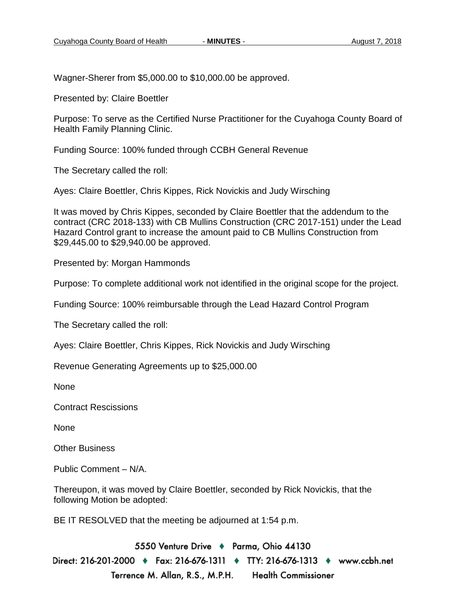Wagner-Sherer from \$5,000.00 to \$10,000.00 be approved.

Presented by: Claire Boettler

Purpose: To serve as the Certified Nurse Practitioner for the Cuyahoga County Board of Health Family Planning Clinic.

Funding Source: 100% funded through CCBH General Revenue

The Secretary called the roll:

Ayes: Claire Boettler, Chris Kippes, Rick Novickis and Judy Wirsching

It was moved by Chris Kippes, seconded by Claire Boettler that the addendum to the contract (CRC 2018-133) with CB Mullins Construction (CRC 2017-151) under the Lead Hazard Control grant to increase the amount paid to CB Mullins Construction from \$29,445.00 to \$29,940.00 be approved.

Presented by: Morgan Hammonds

Purpose: To complete additional work not identified in the original scope for the project.

Funding Source: 100% reimbursable through the Lead Hazard Control Program

The Secretary called the roll:

Ayes: Claire Boettler, Chris Kippes, Rick Novickis and Judy Wirsching

Revenue Generating Agreements up to \$25,000.00

None

Contract Rescissions

None

Other Business

Public Comment – N/A.

Thereupon, it was moved by Claire Boettler, seconded by Rick Novickis, that the following Motion be adopted:

BE IT RESOLVED that the meeting be adjourned at 1:54 p.m.

5550 Venture Drive + Parma, Ohio 44130 Direct: 216-201-2000 ♦ Fax: 216-676-1311 ♦ TTY: 216-676-1313 ♦ www.ccbh.net Terrence M. Allan, R.S., M.P.H. **Health Commissioner**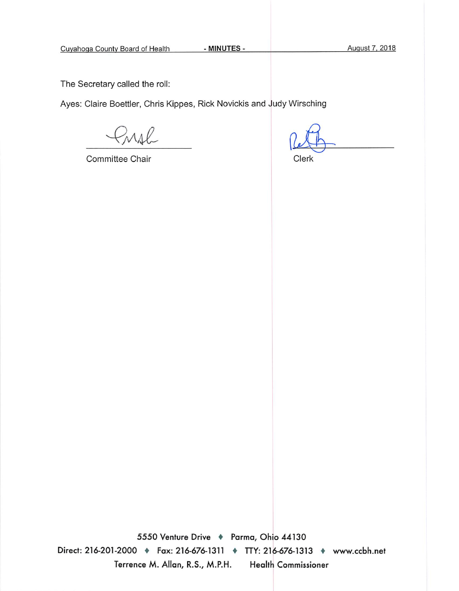The Secretary called the roll:

Ayes: Claire Boettler, Chris Kippes, Rick Novickis and Judy Wirsching

rral

Committee Chair

Clerk

5550 Venture Drive + Parma, Ohio 44130 Direct: 216-201-2000 • Fax: 216-676-1311 • TTY: 216-676-1313 • www.ccbh.net Terrence M. Allan, R.S., M.P.H. **Health Commissioner**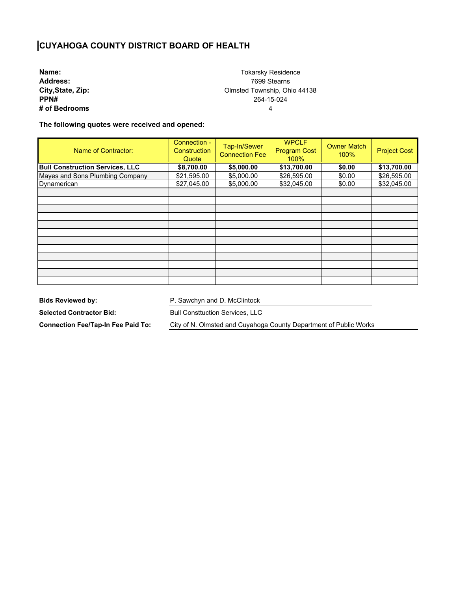### **CUYAHOGA COUNTY DISTRICT BOARD OF HEALTH**

**Name: Address: City,State, Zip: PPN# # of Bedrooms**

Tokarsky Residence 7699 Stearns Olmsted Township, Ohio 44138 264-15-024 4

**The following quotes were received and opened:** 

| Name of Contractor:                    | Connection -<br><b>Construction</b><br>Quote | Tap-In/Sewer<br><b>Connection Fee</b> | <b>WPCLF</b><br><b>Program Cost</b><br>100% | <b>Owner Match</b><br>100% | <b>Project Cost</b> |
|----------------------------------------|----------------------------------------------|---------------------------------------|---------------------------------------------|----------------------------|---------------------|
| <b>Bull Construction Services, LLC</b> | \$8,700.00                                   | \$5,000.00                            | \$13,700.00                                 | \$0.00                     | \$13,700.00         |
| Mayes and Sons Plumbing Company        | \$21,595.00                                  | \$5,000.00                            | \$26,595.00                                 | \$0.00                     | \$26,595.00         |
| Dynamerican                            | \$27,045.00                                  | \$5,000.00                            | \$32,045.00                                 | \$0.00                     | \$32,045.00         |
|                                        |                                              |                                       |                                             |                            |                     |
|                                        |                                              |                                       |                                             |                            |                     |
|                                        |                                              |                                       |                                             |                            |                     |
|                                        |                                              |                                       |                                             |                            |                     |
|                                        |                                              |                                       |                                             |                            |                     |
|                                        |                                              |                                       |                                             |                            |                     |
|                                        |                                              |                                       |                                             |                            |                     |
|                                        |                                              |                                       |                                             |                            |                     |
|                                        |                                              |                                       |                                             |                            |                     |
|                                        |                                              |                                       |                                             |                            |                     |
|                                        |                                              |                                       |                                             |                            |                     |
|                                        |                                              |                                       |                                             |                            |                     |

**Bids Reviewed by:** 

P. Sawchyn and D. McClintock

**Selected Contractor Bid:** 

**Connection Fee/Tap-In Fee Paid To:** 

Bull Consttuction Services, LLC

City of N. Olmsted and Cuyahoga County Department of Public Works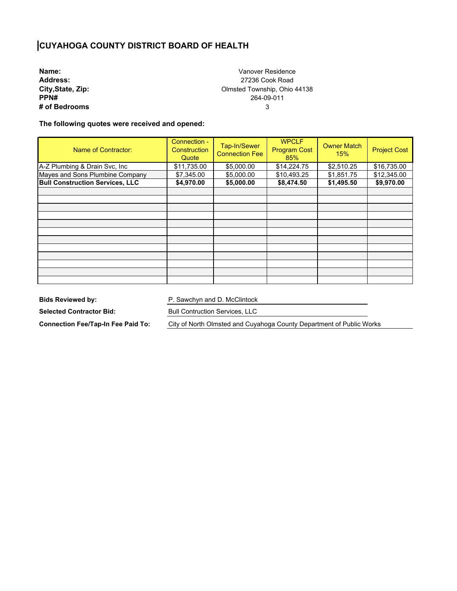# **CUYAHOGA COUNTY DISTRICT BOARD OF HEALTH**

**Name: Address: City,State, Zip: PPN# # of Bedrooms**

Vanover Residence 27236 Cook Road Olmsted Township, Ohio 44138 264-09-011 3

**The following quotes were received and opened:** 

| Name of Contractor:                    | Connection -<br>Construction<br>Quote | Tap-In/Sewer<br><b>Connection Fee</b> | <b>WPCLF</b><br><b>Program Cost</b><br>85% | <b>Owner Match</b><br>15% | <b>Project Cost</b> |
|----------------------------------------|---------------------------------------|---------------------------------------|--------------------------------------------|---------------------------|---------------------|
| A-Z Plumbing & Drain Svc, Inc          | \$11,735.00                           | \$5,000.00                            | \$14,224.75                                | \$2,510.25                | \$16,735.00         |
| Mayes and Sons Plumbine Company        | \$7,345.00                            | \$5,000.00                            | \$10,493.25                                | \$1,851.75                | \$12,345.00         |
| <b>Bull Construction Services, LLC</b> | \$4,970.00                            | \$5,000.00                            | \$8,474.50                                 | \$1,495.50                | \$9,970.00          |
|                                        |                                       |                                       |                                            |                           |                     |
|                                        |                                       |                                       |                                            |                           |                     |
|                                        |                                       |                                       |                                            |                           |                     |
|                                        |                                       |                                       |                                            |                           |                     |
|                                        |                                       |                                       |                                            |                           |                     |
|                                        |                                       |                                       |                                            |                           |                     |
|                                        |                                       |                                       |                                            |                           |                     |
|                                        |                                       |                                       |                                            |                           |                     |
|                                        |                                       |                                       |                                            |                           |                     |
|                                        |                                       |                                       |                                            |                           |                     |
|                                        |                                       |                                       |                                            |                           |                     |
|                                        |                                       |                                       |                                            |                           |                     |

**Bids Reviewed by:** 

P. Sawchyn and D. McClintock

**Selected Contractor Bid:** 

Bull Contruction Services, LLC

**Connection Fee/Tap-In Fee Paid To:** 

City of North Olmsted and Cuyahoga County Department of Public Works